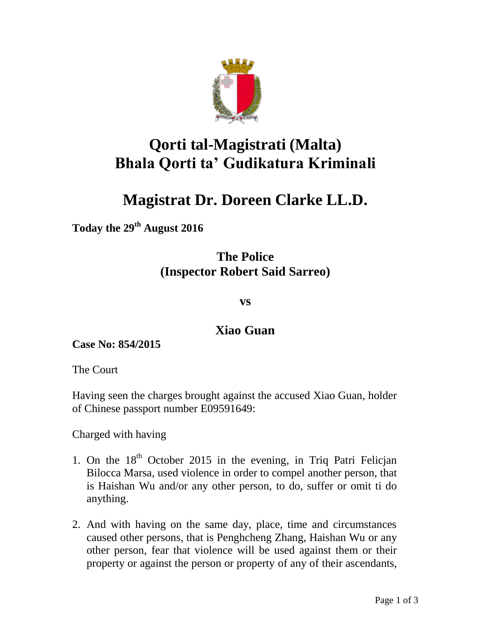

## **Qorti tal-Magistrati (Malta) Bhala Qorti ta' Gudikatura Kriminali**

## **Magistrat Dr. Doreen Clarke LL.D.**

**Today the 29th August 2016**

## **The Police (Inspector Robert Said Sarreo)**

**vs**

## **Xiao Guan**

**Case No: 854/2015**

The Court

Having seen the charges brought against the accused Xiao Guan, holder of Chinese passport number E09591649:

Charged with having

- 1. On the  $18<sup>th</sup>$  October 2015 in the evening, in Triq Patri Felician Bilocca Marsa, used violence in order to compel another person, that is Haishan Wu and/or any other person, to do, suffer or omit ti do anything.
- 2. And with having on the same day, place, time and circumstances caused other persons, that is Penghcheng Zhang, Haishan Wu or any other person, fear that violence will be used against them or their property or against the person or property of any of their ascendants,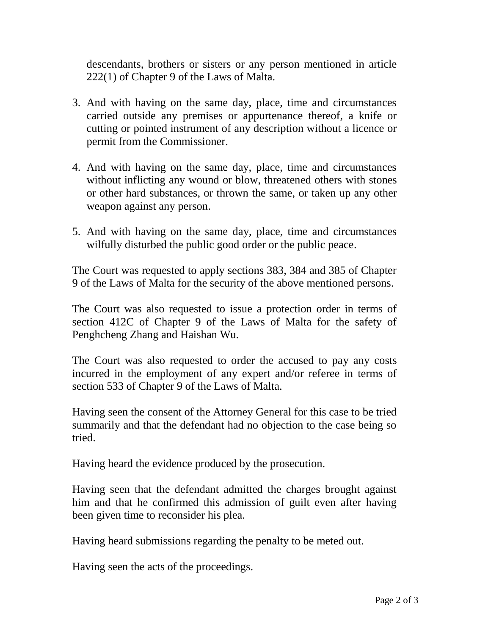descendants, brothers or sisters or any person mentioned in article 222(1) of Chapter 9 of the Laws of Malta.

- 3. And with having on the same day, place, time and circumstances carried outside any premises or appurtenance thereof, a knife or cutting or pointed instrument of any description without a licence or permit from the Commissioner.
- 4. And with having on the same day, place, time and circumstances without inflicting any wound or blow, threatened others with stones or other hard substances, or thrown the same, or taken up any other weapon against any person.
- 5. And with having on the same day, place, time and circumstances wilfully disturbed the public good order or the public peace.

The Court was requested to apply sections 383, 384 and 385 of Chapter 9 of the Laws of Malta for the security of the above mentioned persons.

The Court was also requested to issue a protection order in terms of section 412C of Chapter 9 of the Laws of Malta for the safety of Penghcheng Zhang and Haishan Wu.

The Court was also requested to order the accused to pay any costs incurred in the employment of any expert and/or referee in terms of section 533 of Chapter 9 of the Laws of Malta.

Having seen the consent of the Attorney General for this case to be tried summarily and that the defendant had no objection to the case being so tried.

Having heard the evidence produced by the prosecution.

Having seen that the defendant admitted the charges brought against him and that he confirmed this admission of guilt even after having been given time to reconsider his plea.

Having heard submissions regarding the penalty to be meted out.

Having seen the acts of the proceedings.